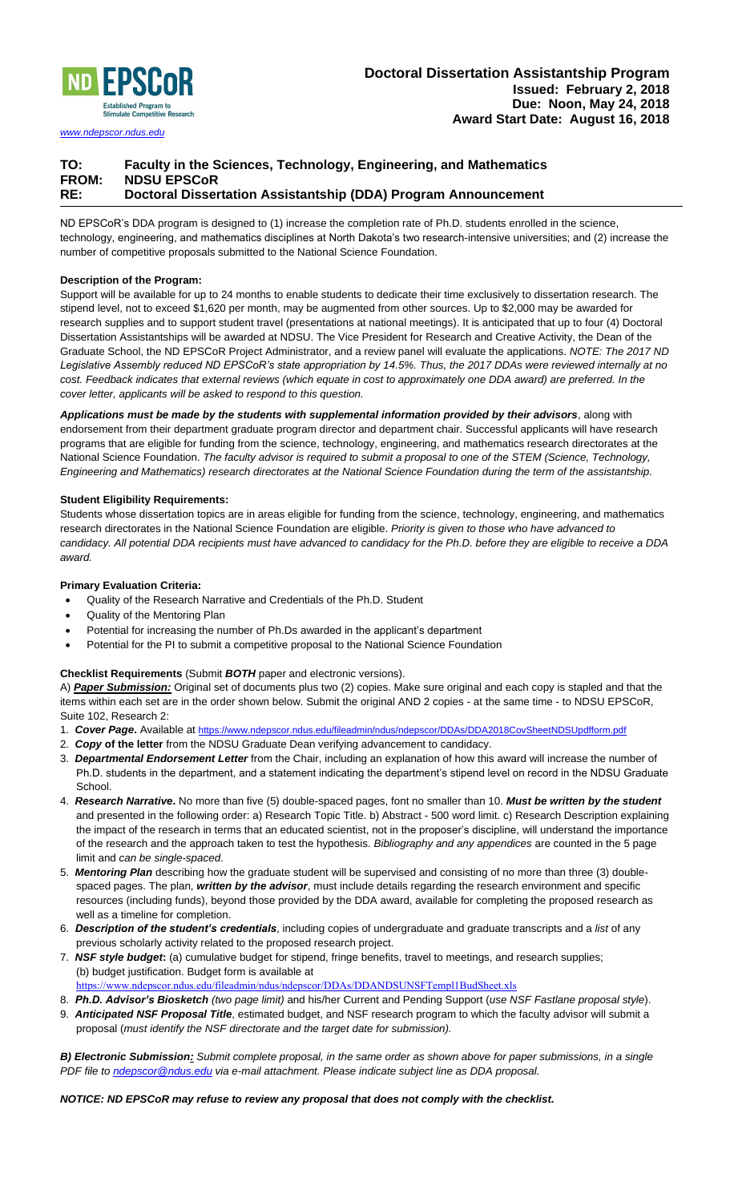

*[www.ndepscor.ndus.edu](http://www.ndepscor.nodak.edu/)*

# **TO: Faculty in the Sciences, Technology, Engineering, and Mathematics FROM: NDSU EPSCoR RE: Doctoral Dissertation Assistantship (DDA) Program Announcement**

ND EPSCoR's DDA program is designed to (1) increase the completion rate of Ph.D. students enrolled in the science, technology, engineering, and mathematics disciplines at North Dakota's two research-intensive universities; and (2) increase the number of competitive proposals submitted to the National Science Foundation.

## **Description of the Program:**

Support will be available for up to 24 months to enable students to dedicate their time exclusively to dissertation research. The stipend level, not to exceed \$1,620 per month, may be augmented from other sources. Up to \$2,000 may be awarded for research supplies and to support student travel (presentations at national meetings). It is anticipated that up to four (4) Doctoral Dissertation Assistantships will be awarded at NDSU. The Vice President for Research and Creative Activity, the Dean of the Graduate School, the ND EPSCoR Project Administrator, and a review panel will evaluate the applications. *NOTE: The 2017 ND Legislative Assembly reduced ND EPSCoR's state appropriation by 14.5%. Thus, the 2017 DDAs were reviewed internally at no cost. Feedback indicates that external reviews (which equate in cost to approximately one DDA award) are preferred. In the cover letter, applicants will be asked to respond to this question.*

*Applications must be made by the students with supplemental information provided by their advisors*, along with endorsement from their department graduate program director and department chair. Successful applicants will have research programs that are eligible for funding from the science, technology, engineering, and mathematics research directorates at the National Science Foundation. *The faculty advisor is required to submit a proposal to one of the STEM (Science, Technology, Engineering and Mathematics) research directorates at the National Science Foundation during the term of the assistantship.*

## **Student Eligibility Requirements:**

Students whose dissertation topics are in areas eligible for funding from the science, technology, engineering, and mathematics research directorates in the National Science Foundation are eligible. *Priority is given to those who have advanced to candidacy. All potential DDA recipients must have advanced to candidacy for the Ph.D. before they are eligible to receive a DDA award.*

## **Primary Evaluation Criteria:**

- Quality of the Research Narrative and Credentials of the Ph.D. Student
- Quality of the Mentoring Plan
- Potential for increasing the number of Ph.Ds awarded in the applicant's department
- Potential for the PI to submit a competitive proposal to the National Science Foundation

## **Checklist Requirements** (Submit *BOTH* paper and electronic versions).

A) *Paper Submission:* Original set of documents plus two (2) copies. Make sure original and each copy is stapled and that the items within each set are in the order shown below. Submit the original AND 2 copies - at the same time - to NDSU EPSCoR, Suite 102, Research 2:

- 1. *Cover Page***.** Available at <https://www.ndepscor.ndus.edu/fileadmin/ndus/ndepscor/DDAs/DDA2018CovSheetNDSUpdfform.pdf>
- 2. *Copy* **of the letter** from the NDSU Graduate Dean verifying advancement to candidacy.
- 3. *Departmental Endorsement Letter* from the Chair, including an explanation of how this award will increase the number of Ph.D. students in the department, and a statement indicating the department's stipend level on record in the NDSU Graduate **School.**
- 4. *Research Narrative***.** No more than five (5) double-spaced pages, font no smaller than 10. *Must be written by the student* and presented in the following order: a) Research Topic Title. b) Abstract - 500 word limit. c) Research Description explaining the impact of the research in terms that an educated scientist, not in the proposer's discipline, will understand the importance of the research and the approach taken to test the hypothesis. *Bibliography and any appendices* are counted in the 5 page limit and *can be single-spaced*.
- 5. *Mentoring Plan* describing how the graduate student will be supervised and consisting of no more than three (3) doublespaced pages. The plan, *written by the advisor*, must include details regarding the research environment and specific resources (including funds), beyond those provided by the DDA award, available for completing the proposed research as well as a timeline for completion.
- 6. *Description of the student's credentials*, including copies of undergraduate and graduate transcripts and a *list* of any previous scholarly activity related to the proposed research project.
- 7. *NSF style budget***:** (a) cumulative budget for stipend, fringe benefits, travel to meetings, and research supplies; (b) budget justification. Budget form is available at <https://www.ndepscor.ndus.edu/fileadmin/ndus/ndepscor/DDAs/DDANDSUNSFTempl1BudSheet.xls>
- 8. *Ph.D. Advisor's Biosketch (two page limit)* and his/her Current and Pending Support (*use NSF Fastlane proposal style*).
- 9. *Anticipated NSF Proposal Title*, estimated budget, and NSF research program to which the faculty advisor will submit a proposal (*must identify the NSF directorate and the target date for submission).*

*B) Electronic Submission: Submit complete proposal, in the same order as shown above for paper submissions, in a single PDF file to [ndepscor@ndus.edu](mailto:ndepscor@ndus.edu) via e-mail attachment. Please indicate subject line as DDA proposal.*

#### *NOTICE: ND EPSCoR may refuse to review any proposal that does not comply with the checklist.*